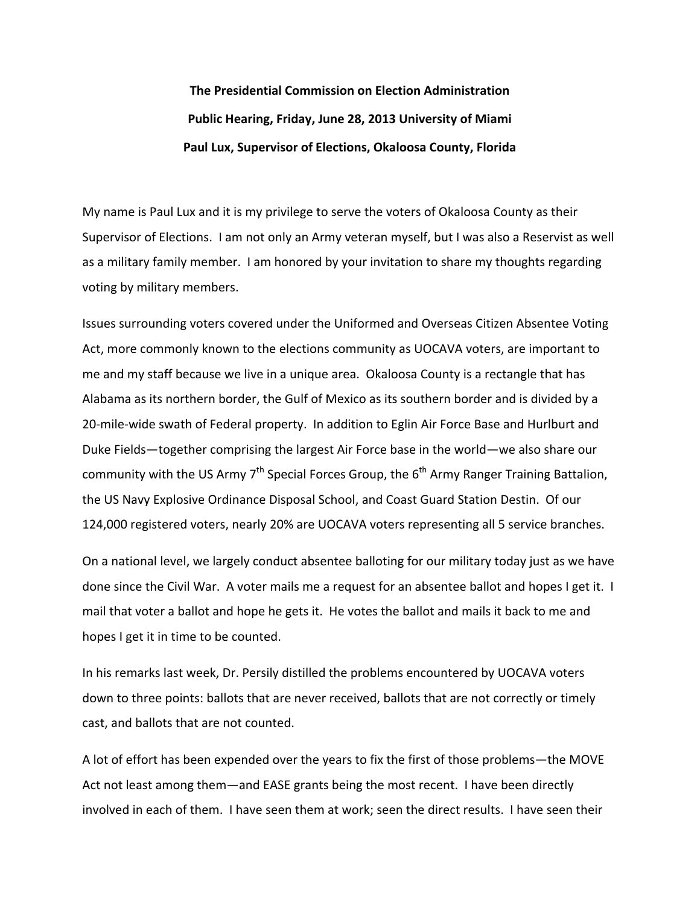**The Presidential Commission on Election Administration Public Hearing, Friday, June 28, 2013 University of Miami Paul Lux, Supervisor of Elections, Okaloosa County, Florida**

My name is Paul Lux and it is my privilege to serve the voters of Okaloosa County as their Supervisor of Elections. I am not only an Army veteran myself, but I was also a Reservist as well as a military family member. I am honored by your invitation to share my thoughts regarding voting by military members.

Issues surrounding voters covered under the Uniformed and Overseas Citizen Absentee Voting Act, more commonly known to the elections community as UOCAVA voters, are important to me and my staff because we live in a unique area. Okaloosa County is a rectangle that has Alabama as its northern border, the Gulf of Mexico as its southern border and is divided by a 20‐mile‐wide swath of Federal property. In addition to Eglin Air Force Base and Hurlburt and Duke Fields—together comprising the largest Air Force base in the world—we also share our community with the US Army  $7<sup>th</sup>$  Special Forces Group, the  $6<sup>th</sup>$  Army Ranger Training Battalion, the US Navy Explosive Ordinance Disposal School, and Coast Guard Station Destin. Of our 124,000 registered voters, nearly 20% are UOCAVA voters representing all 5 service branches.

On a national level, we largely conduct absentee balloting for our military today just as we have done since the Civil War. A voter mails me a request for an absentee ballot and hopes I get it. I mail that voter a ballot and hope he gets it. He votes the ballot and mails it back to me and hopes I get it in time to be counted.

In his remarks last week, Dr. Persily distilled the problems encountered by UOCAVA voters down to three points: ballots that are never received, ballots that are not correctly or timely cast, and ballots that are not counted.

A lot of effort has been expended over the years to fix the first of those problems—the MOVE Act not least among them—and EASE grants being the most recent. I have been directly involved in each of them. I have seen them at work; seen the direct results. I have seen their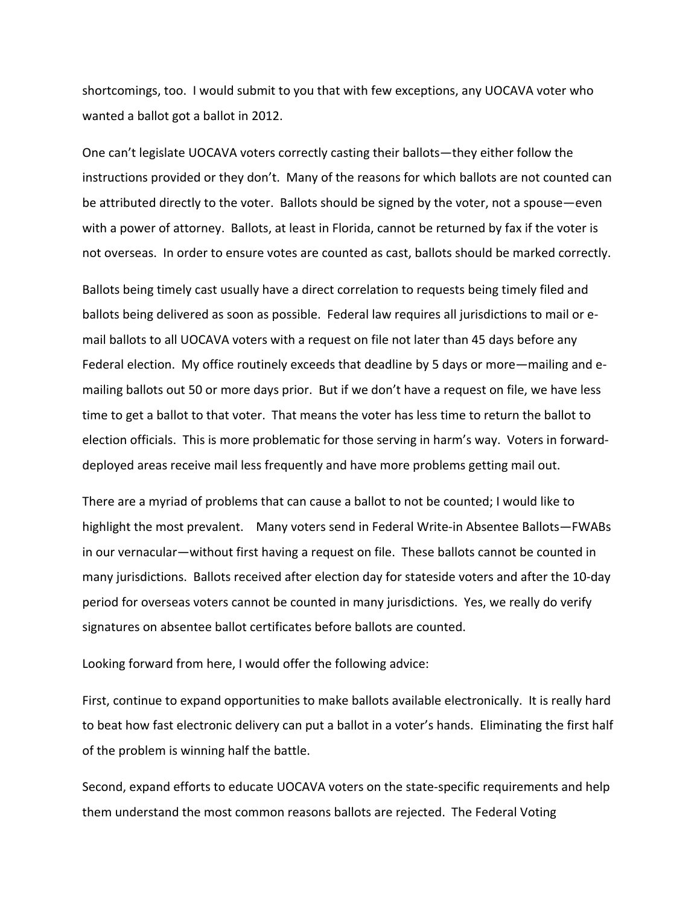shortcomings, too. I would submit to you that with few exceptions, any UOCAVA voter who wanted a ballot got a ballot in 2012.

One can't legislate UOCAVA voters correctly casting their ballots—they either follow the instructions provided or they don't. Many of the reasons for which ballots are not counted can be attributed directly to the voter. Ballots should be signed by the voter, not a spouse—even with a power of attorney. Ballots, at least in Florida, cannot be returned by fax if the voter is not overseas. In order to ensure votes are counted as cast, ballots should be marked correctly.

Ballots being timely cast usually have a direct correlation to requests being timely filed and ballots being delivered as soon as possible. Federal law requires all jurisdictions to mail or e‐ mail ballots to all UOCAVA voters with a request on file not later than 45 days before any Federal election. My office routinely exceeds that deadline by 5 days or more—mailing and e‐ mailing ballots out 50 or more days prior. But if we don't have a request on file, we have less time to get a ballot to that voter. That means the voter has less time to return the ballot to election officials. This is more problematic for those serving in harm's way. Voters in forward‐ deployed areas receive mail less frequently and have more problems getting mail out.

There are a myriad of problems that can cause a ballot to not be counted; I would like to highlight the most prevalent. Many voters send in Federal Write-in Absentee Ballots—FWABs in our vernacular—without first having a request on file. These ballots cannot be counted in many jurisdictions. Ballots received after election day for stateside voters and after the 10‐day period for overseas voters cannot be counted in many jurisdictions. Yes, we really do verify signatures on absentee ballot certificates before ballots are counted.

Looking forward from here, I would offer the following advice:

First, continue to expand opportunities to make ballots available electronically. It is really hard to beat how fast electronic delivery can put a ballot in a voter's hands. Eliminating the first half of the problem is winning half the battle.

Second, expand efforts to educate UOCAVA voters on the state‐specific requirements and help them understand the most common reasons ballots are rejected. The Federal Voting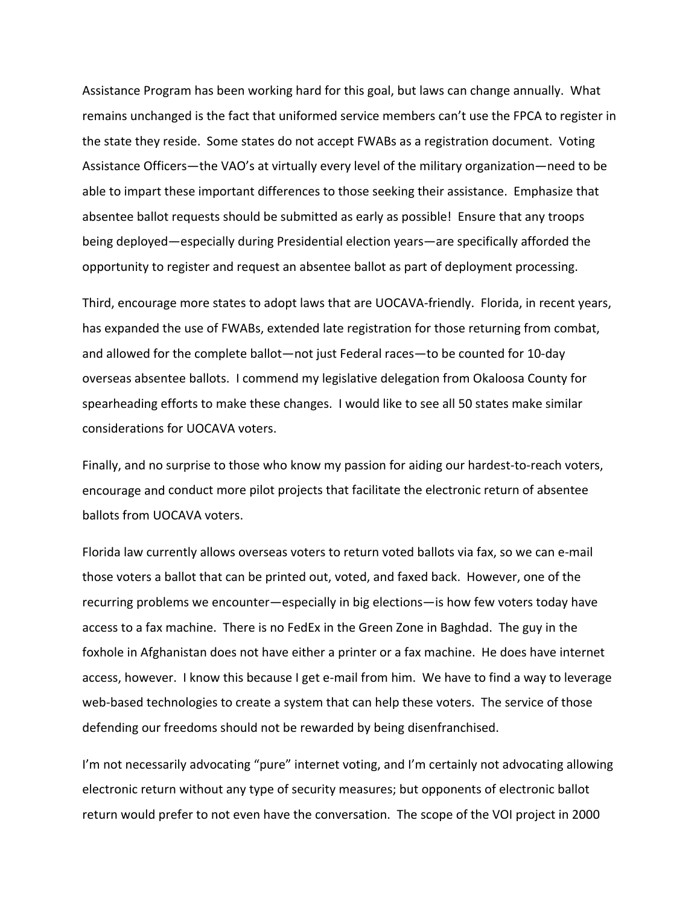Assistance Program has been working hard for this goal, but laws can change annually. What remains unchanged is the fact that uniformed service members can't use the FPCA to register in the state they reside. Some states do not accept FWABs as a registration document. Voting Assistance Officers—the VAO's at virtually every level of the military organization—need to be able to impart these important differences to those seeking their assistance. Emphasize that absentee ballot requests should be submitted as early as possible! Ensure that any troops being deployed—especially during Presidential election years—are specifically afforded the opportunity to register and request an absentee ballot as part of deployment processing.

Third, encourage more states to adopt laws that are UOCAVA‐friendly. Florida, in recent years, has expanded the use of FWABs, extended late registration for those returning from combat, and allowed for the complete ballot—not just Federal races—to be counted for 10‐day overseas absentee ballots. I commend my legislative delegation from Okaloosa County for spearheading efforts to make these changes. I would like to see all 50 states make similar considerations for UOCAVA voters.

Finally, and no surprise to those who know my passion for aiding our hardest‐to‐reach voters, encourage and conduct more pilot projects that facilitate the electronic return of absentee ballots from UOCAVA voters.

Florida law currently allows overseas voters to return voted ballots via fax, so we can e‐mail those voters a ballot that can be printed out, voted, and faxed back. However, one of the recurring problems we encounter—especially in big elections—is how few voters today have access to a fax machine. There is no FedEx in the Green Zone in Baghdad. The guy in the foxhole in Afghanistan does not have either a printer or a fax machine. He does have internet access, however. I know this because I get e-mail from him. We have to find a way to leverage web-based technologies to create a system that can help these voters. The service of those defending our freedoms should not be rewarded by being disenfranchised.

I'm not necessarily advocating "pure" internet voting, and I'm certainly not advocating allowing electronic return without any type of security measures; but opponents of electronic ballot return would prefer to not even have the conversation. The scope of the VOI project in 2000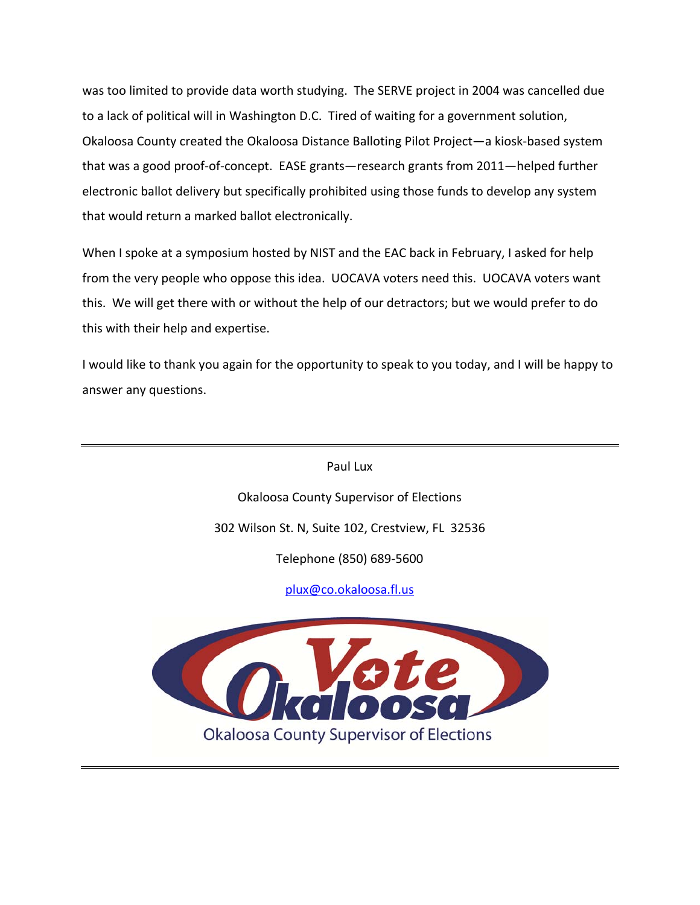was too limited to provide data worth studying. The SERVE project in 2004 was cancelled due to a lack of political will in Washington D.C. Tired of waiting for a government solution, Okaloosa County created the Okaloosa Distance Balloting Pilot Project—a kiosk‐based system that was a good proof‐of‐concept. EASE grants—research grants from 2011—helped further electronic ballot delivery but specifically prohibited using those funds to develop any system that would return a marked ballot electronically.

When I spoke at a symposium hosted by NIST and the EAC back in February, I asked for help from the very people who oppose this idea. UOCAVA voters need this. UOCAVA voters want this. We will get there with or without the help of our detractors; but we would prefer to do this with their help and expertise.

I would like to thank you again for the opportunity to speak to you today, and I will be happy to answer any questions.